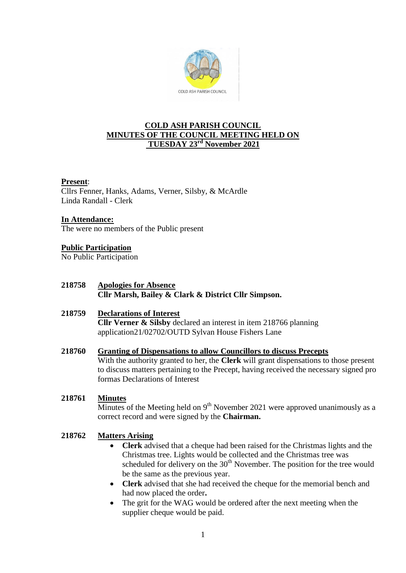

# **COLD ASH PARISH COUNCIL MINUTES OF THE COUNCIL MEETING HELD ON TUESDAY 23rd November 2021**

### **Present**:

Cllrs Fenner, Hanks, Adams, Verner, Silsby, & McArdle Linda Randall - Clerk

### **In Attendance:**

The were no members of the Public present

# **Public Participation**

No Public Participation

# **218758 Apologies for Absence Cllr Marsh, Bailey & Clark & District Cllr Simpson.**

### **218759 Declarations of Interest Cllr Verner & Silsby** declared an interest in item 218766 planning application21/02702/OUTD Sylvan House Fishers Lane

#### **218760 Granting of Dispensations to allow Councillors to discuss Precepts**

With the authority granted to her, the **Clerk** will grant dispensations to those present to discuss matters pertaining to the Precept, having received the necessary signed pro formas Declarations of Interest

#### **218761 Minutes**

Minutes of the Meeting held on  $9<sup>th</sup>$  November 2021 were approved unanimously as a correct record and were signed by the **Chairman.**

#### **218762 Matters Arising**

- **Clerk** advised that a cheque had been raised for the Christmas lights and the Christmas tree. Lights would be collected and the Christmas tree was scheduled for delivery on the  $30<sup>th</sup>$  November. The position for the tree would be the same as the previous year.
- **Clerk** advised that she had received the cheque for the memorial bench and had now placed the order**.**
- The grit for the WAG would be ordered after the next meeting when the supplier cheque would be paid.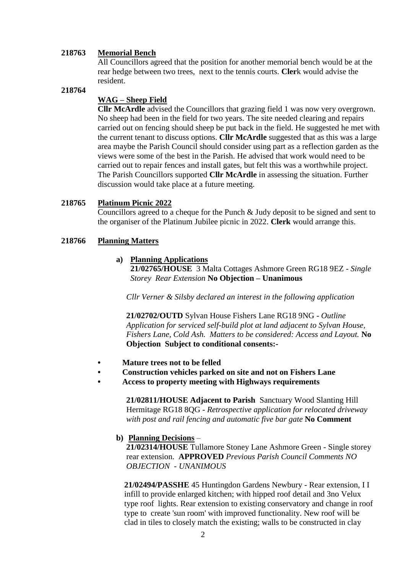#### **218763 Memorial Bench**

All Councillors agreed that the position for another memorial bench would be at the rear hedge between two trees, next to the tennis courts. **Cler**k would advise the resident.

### **218764**

## **WAG – Sheep Field**

**Cllr McArdle** advised the Councillors that grazing field 1 was now very overgrown. No sheep had been in the field for two years. The site needed clearing and repairs carried out on fencing should sheep be put back in the field. He suggested he met with the current tenant to discuss options. **Cllr McArdle** suggested that as this was a large area maybe the Parish Council should consider using part as a reflection garden as the views were some of the best in the Parish. He advised that work would need to be carried out to repair fences and install gates, but felt this was a worthwhile project. The Parish Councillors supported **Cllr McArdle** in assessing the situation. Further discussion would take place at a future meeting.

#### **218765 Platinum Picnic 2022**

Councillors agreed to a cheque for the Punch & Judy deposit to be signed and sent to the organiser of the Platinum Jubilee picnic in 2022. **Clerk** would arrange this.

#### **218766 Planning Matters**

### **a) Planning Applications**

 **21/02765/HOUSE** 3 Malta Cottages Ashmore Green RG18 9EZ - *Single Storey Rear Extension* **No Objection – Unanimous**

 *Cllr Verner & Silsby declared an interest in the following application*

**21/02702/OUTD** Sylvan House Fishers Lane RG18 9NG *- Outline Application for serviced self-build plot at land adjacent to Sylvan House, Fishers Lane, Cold Ash. Matters to be considered: Access and Layout.* **No Objection Subject to conditional consents:-**

- **• Mature trees not to be felled**
- **• Construction vehicles parked on site and not on Fishers Lane**
- **• Access to property meeting with Highways requirements**

**21/02811/HOUSE Adjacent to Parish** Sanctuary Wood Slanting Hill Hermitage RG18 8QG - *Retrospective application for relocated driveway with post and rail fencing and automatic five bar gate* **No Comment**

### **b) Planning Decisions** –

 **21/02314/HOUSE** Tullamore Stoney Lane Ashmore Green - Single storey rear extension. **APPROVED** *Previous Parish Council Comments NO OBJECTION - UNANIMOUS* 

**21/02494/PASSHE** 45 Huntingdon Gardens Newbury - Rear extension, I I infill to provide enlarged kitchen; with hipped roof detail and 3no Velux type roof lights. Rear extension to existing conservatory and change in roof type to create 'sun room' with improved functionality. New roof will be clad in tiles to closely match the existing; walls to be constructed in clay